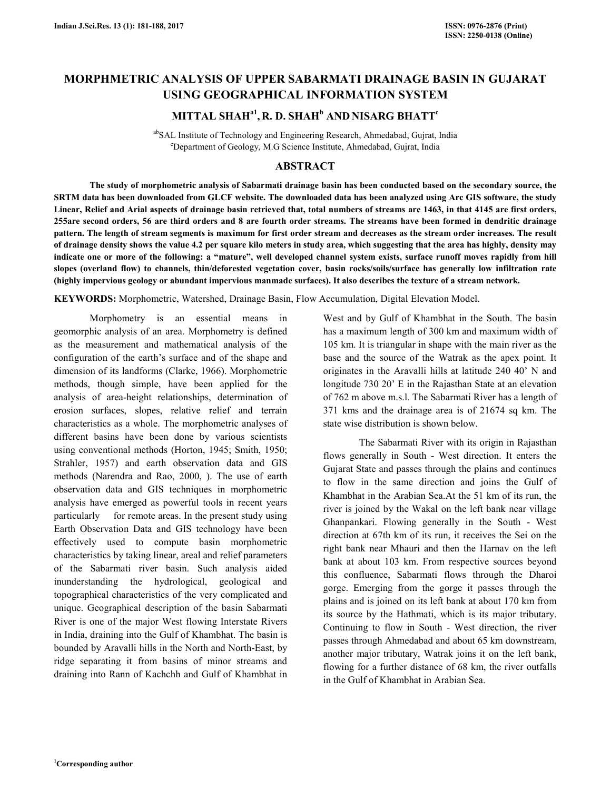# **MORPHMETRIC ANALYSIS OF UPPER SABARMATI DRAINAGE BASIN IN GUJARAT USING GEOGRAPHICAL INFORMATION SYSTEM**

# **MITTAL SHAHa1 , R. D. SHAH<sup>b</sup> AND NISARG BHATT<sup>c</sup>**

abSAL Institute of Technology and Engineering Research, Ahmedabad, Gujrat, India <sup>c</sup>Department of Geology, M.G Science Institute, Ahmedabad, Gujrat, India

# **ABSTRACT**

 **The study of morphometric analysis of Sabarmati drainage basin has been conducted based on the secondary source, the SRTM data has been downloaded from GLCF website. The downloaded data has been analyzed using Arc GIS software, the study Linear, Relief and Arial aspects of drainage basin retrieved that, total numbers of streams are 1463, in that 4145 are first orders, 255are second orders, 56 are third orders and 8 are fourth order streams. The streams have been formed in dendritic drainage pattern. The length of stream segments is maximum for first order stream and decreases as the stream order increases. The result of drainage density shows the value 4.2 per square kilo meters in study area, which suggesting that the area has highly, density may indicate one or more of the following: a "mature", well developed channel system exists, surface runoff moves rapidly from hill slopes (overland flow) to channels, thin/deforested vegetation cover, basin rocks/soils/surface has generally low infiltration rate (highly impervious geology or abundant impervious manmade surfaces). It also describes the texture of a stream network.** 

**KEYWORDS:** Morphometric, Watershed, Drainage Basin, Flow Accumulation, Digital Elevation Model.

 Morphometry is an essential means in geomorphic analysis of an area. Morphometry is defined as the measurement and mathematical analysis of the configuration of the earth's surface and of the shape and dimension of its landforms (Clarke, 1966). Morphometric methods, though simple, have been applied for the analysis of area-height relationships, determination of erosion surfaces, slopes, relative relief and terrain characteristics as a whole. The morphometric analyses of different basins have been done by various scientists using conventional methods (Horton, 1945; Smith, 1950; Strahler, 1957) and earth observation data and GIS methods (Narendra and Rao, 2000, ). The use of earth observation data and GIS techniques in morphometric analysis have emerged as powerful tools in recent years particularly for remote areas. In the present study using Earth Observation Data and GIS technology have been effectively used to compute basin morphometric characteristics by taking linear, areal and relief parameters of the Sabarmati river basin. Such analysis aided inunderstanding the hydrological, geological and topographical characteristics of the very complicated and unique. Geographical description of the basin Sabarmati River is one of the major West flowing Interstate Rivers in India, draining into the Gulf of Khambhat. The basin is bounded by Aravalli hills in the North and North-East, by ridge separating it from basins of minor streams and draining into Rann of Kachchh and Gulf of Khambhat in

West and by Gulf of Khambhat in the South. The basin has a maximum length of 300 km and maximum width of 105 km. It is triangular in shape with the main river as the base and the source of the Watrak as the apex point. It originates in the Aravalli hills at latitude 240 40' N and longitude 730 20' E in the Rajasthan State at an elevation of 762 m above m.s.l. The Sabarmati River has a length of 371 kms and the drainage area is of 21674 sq km. The state wise distribution is shown below.

 The Sabarmati River with its origin in Rajasthan flows generally in South - West direction. It enters the Gujarat State and passes through the plains and continues to flow in the same direction and joins the Gulf of Khambhat in the Arabian Sea.At the 51 km of its run, the river is joined by the Wakal on the left bank near village Ghanpankari. Flowing generally in the South - West direction at 67th km of its run, it receives the Sei on the right bank near Mhauri and then the Harnav on the left bank at about 103 km. From respective sources beyond this confluence, Sabarmati flows through the Dharoi gorge. Emerging from the gorge it passes through the plains and is joined on its left bank at about 170 km from its source by the Hathmati, which is its major tributary. Continuing to flow in South - West direction, the river passes through Ahmedabad and about 65 km downstream, another major tributary, Watrak joins it on the left bank, flowing for a further distance of 68 km, the river outfalls in the Gulf of Khambhat in Arabian Sea.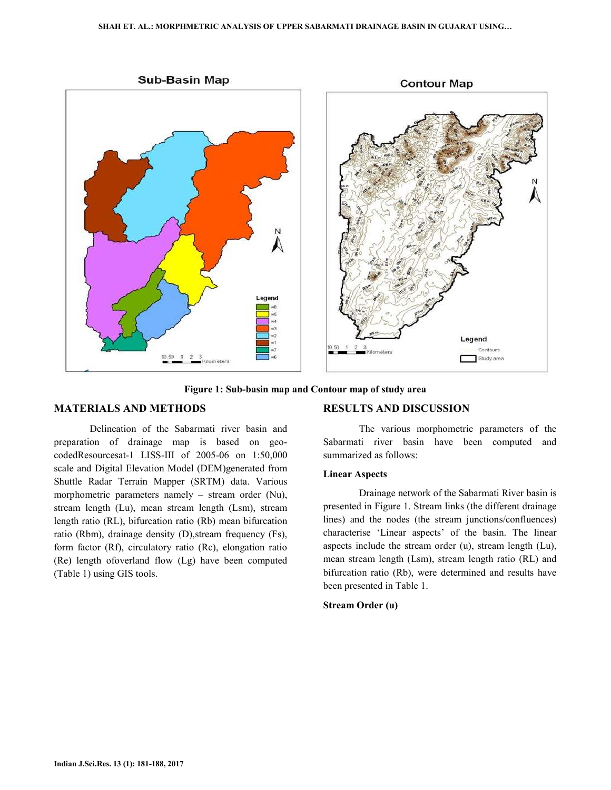

**Figure 1: Sub-basin map and Contour map of study area** 

# **MATERIALS AND METHODS**

 Delineation of the Sabarmati river basin and preparation of drainage map is based on geocodedResourcesat-1 LISS-III of 2005-06 on 1:50,000 scale and Digital Elevation Model (DEM)generated from Shuttle Radar Terrain Mapper (SRTM) data. Various morphometric parameters namely – stream order (Nu), stream length (Lu), mean stream length (Lsm), stream length ratio (RL), bifurcation ratio (Rb) mean bifurcation ratio (Rbm), drainage density (D),stream frequency (Fs), form factor (Rf), circulatory ratio (Rc), elongation ratio (Re) length ofoverland flow (Lg) have been computed (Table 1) using GIS tools.

# **RESULTS AND DISCUSSION**

 The various morphometric parameters of the Sabarmati river basin have been computed and summarized as follows:

#### **Linear Aspects**

 Drainage network of the Sabarmati River basin is presented in Figure 1. Stream links (the different drainage lines) and the nodes (the stream junctions/confluences) characterise 'Linear aspects' of the basin. The linear aspects include the stream order (u), stream length (Lu), mean stream length (Lsm), stream length ratio (RL) and bifurcation ratio (Rb), were determined and results have been presented in Table 1.

#### **Stream Order (u)**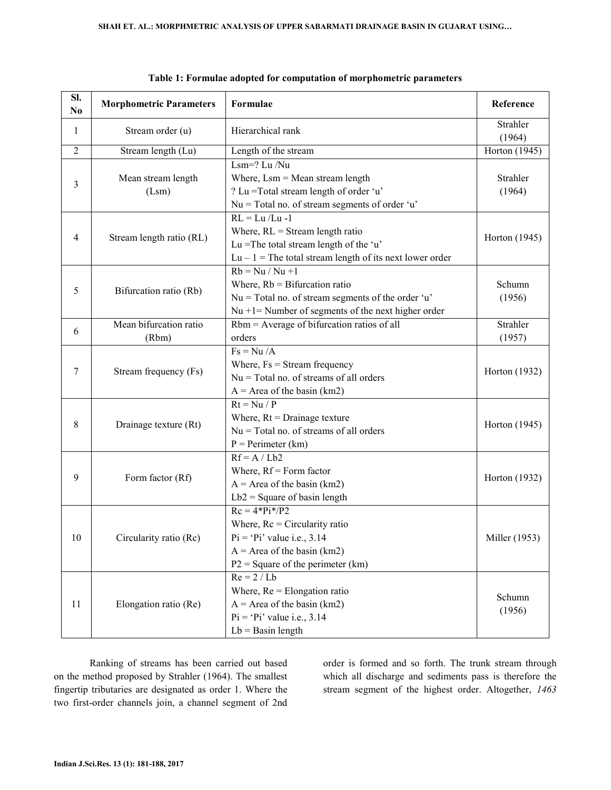| Sl.<br>N <sub>0</sub> | <b>Morphometric Parameters</b>  | Formulae                                                                                                                                                                 | Reference          |
|-----------------------|---------------------------------|--------------------------------------------------------------------------------------------------------------------------------------------------------------------------|--------------------|
| 1                     | Stream order (u)                | Hierarchical rank                                                                                                                                                        | Strahler<br>(1964) |
| $\overline{2}$        | Stream length (Lu)              | Length of the stream                                                                                                                                                     | Horton (1945)      |
| 3                     | Mean stream length<br>(Lsm)     | $Lsm=?$ Lu /Nu<br>Where, $Lsm = Mean stream length$<br>? Lu = Total stream length of order 'u'<br>$Nu = Total no$ . of stream segments of order 'u'                      | Strahler<br>(1964) |
| 4                     | Stream length ratio (RL)        | $RL = Lu/Lu -1$<br>Where, $RL =$ Stream length ratio<br>Lu = The total stream length of the 'u'<br>$Lu - 1$ = The total stream length of its next lower order            | Horton (1945)      |
| 5                     | Bifurcation ratio (Rb)          | $Rb = Nu / Nu + 1$<br>Where, $Rb = Bifurcation ratio$<br>$Nu = Total no$ . of stream segments of the order 'u'<br>$Nu + 1 =$ Number of segments of the next higher order | Schumn<br>(1956)   |
| 6                     | Mean bifurcation ratio<br>(Rbm) | Rbm = Average of bifurcation ratios of all<br>orders                                                                                                                     | Strahler<br>(1957) |
| 7                     | Stream frequency (Fs)           | $Fs = Nu / A$<br>Where, $Fs = Stream frequency$<br>$Nu = Total no$ . of streams of all orders<br>$A = Area of the basin (km2)$                                           | Horton (1932)      |
| 8                     | Drainage texture (Rt)           | $Rt = Nu / P$<br>Where, $Rt = Drainage$ texture<br>$Nu = Total no$ . of streams of all orders<br>$P = Perimeter (km)$                                                    | Horton (1945)      |
| 9                     | Form factor (Rf)                | $Rf = A / Lb2$<br>Where, $Rf = Form factor$<br>$A = Area of the basin (km2)$<br>$Lb2 = Square of basin length$                                                           | Horton (1932)      |
| 10                    | Circularity ratio (Rc)          | $Rc = 4*Pi*/P2$<br>Where, $Re = Circularity ratio$<br>$Pi = 'Pi'$ value i.e., 3.14<br>$A = Area of the basin (km2)$<br>$P2 = Square of the perimeter (km)$               | Miller (1953)      |
| 11                    | Elongation ratio (Re)           | $Re = 2 / Lb$<br>Where, $Re =$ Elongation ratio<br>$A = Area of the basin (km2)$<br>$Pi = 'Pi'$ value i.e., 3.14<br>$Lb =$ Basin length                                  | Schumn<br>(1956)   |

|  |  | Table 1: Formulae adopted for computation of morphometric parameters |
|--|--|----------------------------------------------------------------------|
|--|--|----------------------------------------------------------------------|

 Ranking of streams has been carried out based on the method proposed by Strahler (1964). The smallest fingertip tributaries are designated as order 1. Where the two first-order channels join, a channel segment of 2nd order is formed and so forth. The trunk stream through which all discharge and sediments pass is therefore the stream segment of the highest order. Altogether, *1463*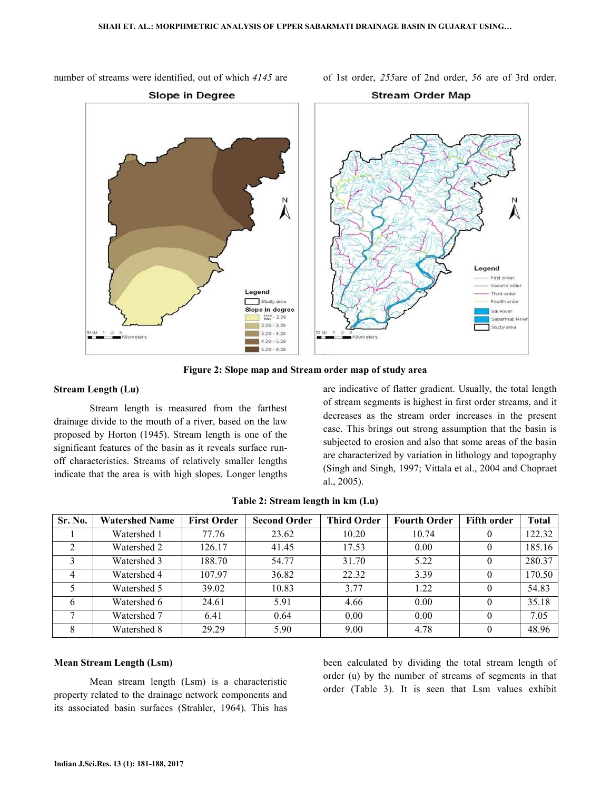number of streams were identified, out of which *4145* are of 1st order, *255*are of 2nd order, *56* are of 3rd order.



**Figure 2: Slope map and Stream order map of study area** 

### **Stream Length (Lu)**

 Stream length is measured from the farthest drainage divide to the mouth of a river, based on the law proposed by Horton (1945). Stream length is one of the significant features of the basin as it reveals surface runoff characteristics. Streams of relatively smaller lengths indicate that the area is with high slopes. Longer lengths are indicative of flatter gradient. Usually, the total length of stream segments is highest in first order streams, and it decreases as the stream order increases in the present case. This brings out strong assumption that the basin is subjected to erosion and also that some areas of the basin are characterized by variation in lithology and topography (Singh and Singh, 1997; Vittala et al., 2004 and Chopraet al., 2005).

| Sr. No.        | <b>Watershed Name</b> | <b>First Order</b> | <b>Second Order</b> | Third Order | <b>Fourth Order</b> | <b>Fifth order</b> | Total  |
|----------------|-----------------------|--------------------|---------------------|-------------|---------------------|--------------------|--------|
|                | Watershed 1           | 77.76              | 23.62               | 10.20       | 10.74               | U                  | 122.32 |
|                | Watershed 2           | 126.17             | 41.45               | 17.53       | 0.00                | $_{0}$             | 185.16 |
|                | Watershed 3           | 188.70             | 54.77               | 31.70       | 5.22                | $\theta$           | 280.37 |
| $\overline{4}$ | Watershed 4           | 107.97             | 36.82               | 22.32       | 3.39                | $\theta$           | 170.50 |
|                | Watershed 5           | 39.02              | 10.83               | 3.77        | 1.22                | $\theta$           | 54.83  |
|                | Watershed 6           | 24.61              | 5.91                | 4.66        | 0.00                | $\theta$           | 35.18  |
|                | Watershed 7           | 6.41               | 0.64                | 0.00        | 0.00                | $\theta$           | 7.05   |
|                | Watershed 8           | 29.29              | 5.90                | 9.00        | 4.78                | $\Omega$           | 48.96  |

**Table 2: Stream length in km (Lu)** 

## **Mean Stream Length (Lsm)**

 Mean stream length (Lsm) is a characteristic property related to the drainage network components and its associated basin surfaces (Strahler, 1964). This has been calculated by dividing the total stream length of order (u) by the number of streams of segments in that order (Table 3). It is seen that Lsm values exhibit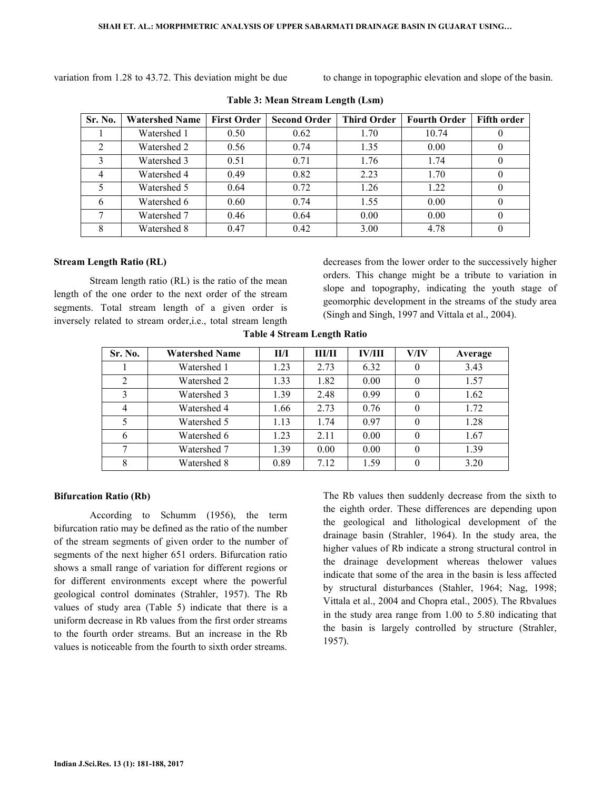variation from 1.28 to 43.72. This deviation might be due to change in topographic elevation and slope of the basin.

| Sr. No. | <b>Watershed Name</b> | <b>First Order</b> | <b>Second Order</b> | <b>Third Order</b> | <b>Fourth Order</b> | <b>Fifth order</b> |
|---------|-----------------------|--------------------|---------------------|--------------------|---------------------|--------------------|
|         | Watershed 1           | 0.50               | 0.62                | 1.70               | 10.74               |                    |
|         | Watershed 2           | 0.56               | 0.74                | 1.35               | 0.00                |                    |
| 3       | Watershed 3           | 0.51               | 0.71                | 1.76               | 1.74                | 0                  |
|         | Watershed 4           | 0.49               | 0.82                | 2.23               | 1.70                | $\theta$           |
|         | Watershed 5           | 0.64               | 0.72                | 1.26               | 1.22                | $\theta$           |
|         | Watershed 6           | 0.60               | 0.74                | 1.55               | 0.00                | $\Omega$           |
|         | Watershed 7           | 0.46               | 0.64                | 0.00               | 0.00                | $\Omega$           |
| 8       | Watershed 8           | 0.47               | 0.42                | 3.00               | 4.78                | $\theta$           |

**Table 3: Mean Stream Length (Lsm)** 

### **Stream Length Ratio (RL)**

 Stream length ratio (RL) is the ratio of the mean length of the one order to the next order of the stream segments. Total stream length of a given order is inversely related to stream order,i.e., total stream length

decreases from the lower order to the successively higher orders. This change might be a tribute to variation in slope and topography, indicating the youth stage of geomorphic development in the streams of the study area (Singh and Singh, 1997 and Vittala et al., 2004).

**Table 4 Stream Length Ratio** 

| Sr. No.        | <b>Watershed Name</b> | II/I | ШЛІ  | <b>IV/III</b> | V/IV     | Average |
|----------------|-----------------------|------|------|---------------|----------|---------|
|                | Watershed 1           | 1.23 | 2.73 | 6.32          | 0        | 3.43    |
| $\overline{2}$ | Watershed 2           | 1.33 | 1.82 | 0.00          | $\theta$ | 1.57    |
|                | Watershed 3           | 1.39 | 2.48 | 0.99          | $\theta$ | 1.62    |
| $\overline{4}$ | Watershed 4           | 1.66 | 2.73 | 0.76          | $\theta$ | 1.72    |
|                | Watershed 5           | 1.13 | 1.74 | 0.97          | $\Omega$ | 1.28    |
| 6              | Watershed 6           | 1.23 | 2.11 | 0.00          | $\Omega$ | 1.67    |
|                | Watershed 7           | 1.39 | 0.00 | 0.00          | $\Omega$ | 1.39    |
|                | Watershed 8           | 0.89 | 7.12 | 1.59          | 0        | 3.20    |

### **Bifurcation Ratio (Rb)**

 According to Schumm (1956), the term bifurcation ratio may be defined as the ratio of the number of the stream segments of given order to the number of segments of the next higher 651 orders. Bifurcation ratio shows a small range of variation for different regions or for different environments except where the powerful geological control dominates (Strahler, 1957). The Rb values of study area (Table 5) indicate that there is a uniform decrease in Rb values from the first order streams to the fourth order streams. But an increase in the Rb values is noticeable from the fourth to sixth order streams.

The Rb values then suddenly decrease from the sixth to the eighth order. These differences are depending upon the geological and lithological development of the drainage basin (Strahler, 1964). In the study area, the higher values of Rb indicate a strong structural control in the drainage development whereas thelower values indicate that some of the area in the basin is less affected by structural disturbances (Stahler, 1964; Nag, 1998; Vittala et al., 2004 and Chopra etal., 2005). The Rbvalues in the study area range from 1.00 to 5.80 indicating that the basin is largely controlled by structure (Strahler, 1957).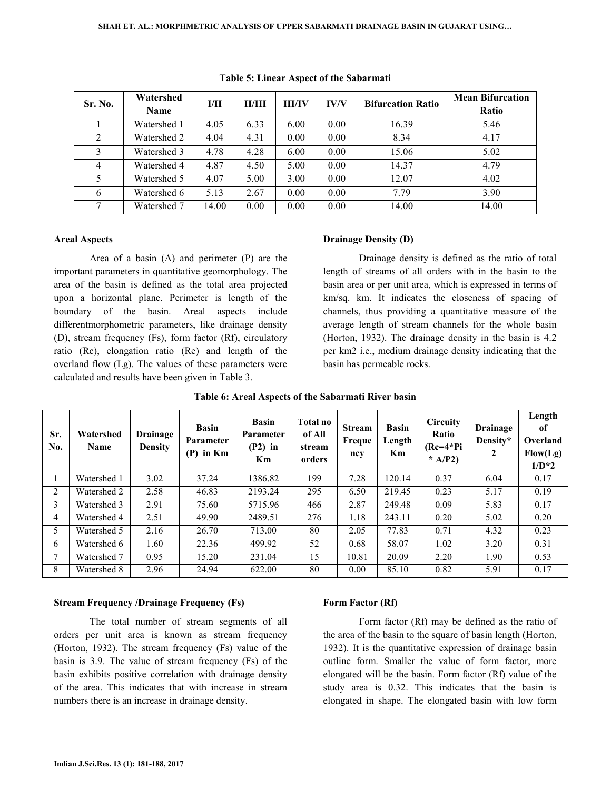| Sr. No.        | Watershed   |       | I/II<br><b>HI/IV</b><br>II/III |      | <b>IV/V</b> | <b>Bifurcation Ratio</b> | <b>Mean Bifurcation</b> |
|----------------|-------------|-------|--------------------------------|------|-------------|--------------------------|-------------------------|
|                | <b>Name</b> |       |                                |      |             |                          | Ratio                   |
|                | Watershed 1 | 4.05  | 6.33                           | 6.00 | 0.00        | 16.39                    | 5.46                    |
| 2              | Watershed 2 | 4.04  | 4.31                           | 0.00 | 0.00        | 8.34                     | 4.17                    |
| 3              | Watershed 3 | 4.78  | 4.28                           | 6.00 | 0.00        | 15.06                    | 5.02                    |
| $\overline{4}$ | Watershed 4 | 4.87  | 4.50                           | 5.00 | 0.00        | 14.37                    | 4.79                    |
|                | Watershed 5 | 4.07  | 5.00                           | 3.00 | 0.00        | 12.07                    | 4.02                    |
| 6              | Watershed 6 | 5.13  | 2.67                           | 0.00 | 0.00        | 7.79                     | 3.90                    |
| 7              | Watershed 7 | 14.00 | 0.00                           | 0.00 | 0.00        | 14.00                    | 14.00                   |

#### **Table 5: Linear Aspect of the Sabarmati**

### **Areal Aspects**

 Area of a basin (A) and perimeter (P) are the important parameters in quantitative geomorphology. The area of the basin is defined as the total area projected upon a horizontal plane. Perimeter is length of the boundary of the basin. Areal aspects include differentmorphometric parameters, like drainage density (D), stream frequency (Fs), form factor (Rf), circulatory ratio (Rc), elongation ratio (Re) and length of the overland flow (Lg). The values of these parameters were calculated and results have been given in Table 3.

### **Drainage Density (D)**

 Drainage density is defined as the ratio of total length of streams of all orders with in the basin to the basin area or per unit area, which is expressed in terms of km/sq. km. It indicates the closeness of spacing of channels, thus providing a quantitative measure of the average length of stream channels for the whole basin (Horton, 1932). The drainage density in the basin is 4.2 per km2 i.e., medium drainage density indicating that the basin has permeable rocks.

| Sr.<br>No. | Watershed<br><b>Name</b> | <b>Drainage</b><br><b>Density</b> | <b>Basin</b><br><b>Parameter</b><br>in Km<br>(P) | <b>Basin</b><br><b>Parameter</b><br>$(P2)$ in<br>Km | Total no<br>of All<br>stream<br>orders | <b>Stream</b><br>Freque<br>ncy | <b>Basin</b><br>Length<br>Km | <b>Circuity</b><br>Ratio<br>$(Re=4*Pi)$<br>* $A/P2$ ) | <b>Drainage</b><br>Density*<br>2 | Length<br>of<br>Overland<br>Flow(Lg)<br>$1/D*2$ |
|------------|--------------------------|-----------------------------------|--------------------------------------------------|-----------------------------------------------------|----------------------------------------|--------------------------------|------------------------------|-------------------------------------------------------|----------------------------------|-------------------------------------------------|
|            | Watershed 1              | 3.02                              | 37.24                                            | 1386.82                                             | 199                                    | 7.28                           | 120.14                       | 0.37                                                  | 6.04                             | 0.17                                            |
| 2          | Watershed 2              | 2.58                              | 46.83                                            | 2193.24                                             | 295                                    | 6.50                           | 219.45                       | 0.23                                                  | 5.17                             | 0.19                                            |
| 3          | Watershed 3              | 2.91                              | 75.60                                            | 5715.96                                             | 466                                    | 2.87                           | 249.48                       | 0.09                                                  | 5.83                             | 0.17                                            |
| 4          | Watershed 4              | 2.51                              | 49.90                                            | 2489.51                                             | 276                                    | 1.18                           | 243.11                       | 0.20                                                  | 5.02                             | 0.20                                            |
| 5.         | Watershed 5              | 2.16                              | 26.70                                            | 713.00                                              | 80                                     | 2.05                           | 77.83                        | 0.71                                                  | 4.32                             | 0.23                                            |
| 6          | Watershed 6              | 1.60                              | 22.36                                            | 499.92                                              | 52                                     | 0.68                           | 58.07                        | 1.02                                                  | 3.20                             | 0.31                                            |
| 7          | Watershed 7              | 0.95                              | 15.20                                            | 231.04                                              | 15                                     | 10.81                          | 20.09                        | 2.20                                                  | 1.90                             | 0.53                                            |
| 8          | Watershed 8              | 2.96                              | 24.94                                            | 622.00                                              | 80                                     | 0.00                           | 85.10                        | 0.82                                                  | 5.91                             | 0.17                                            |

|  |  |  |  | Table 6: Areal Aspects of the Sabarmati River basin |  |
|--|--|--|--|-----------------------------------------------------|--|
|--|--|--|--|-----------------------------------------------------|--|

#### **Stream Frequency /Drainage Frequency (Fs)**

 The total number of stream segments of all orders per unit area is known as stream frequency (Horton, 1932). The stream frequency (Fs) value of the basin is 3.9. The value of stream frequency (Fs) of the basin exhibits positive correlation with drainage density of the area. This indicates that with increase in stream numbers there is an increase in drainage density.

#### **Form Factor (Rf)**

 Form factor (Rf) may be defined as the ratio of the area of the basin to the square of basin length (Horton, 1932). It is the quantitative expression of drainage basin outline form. Smaller the value of form factor, more elongated will be the basin. Form factor (Rf) value of the study area is 0.32. This indicates that the basin is elongated in shape. The elongated basin with low form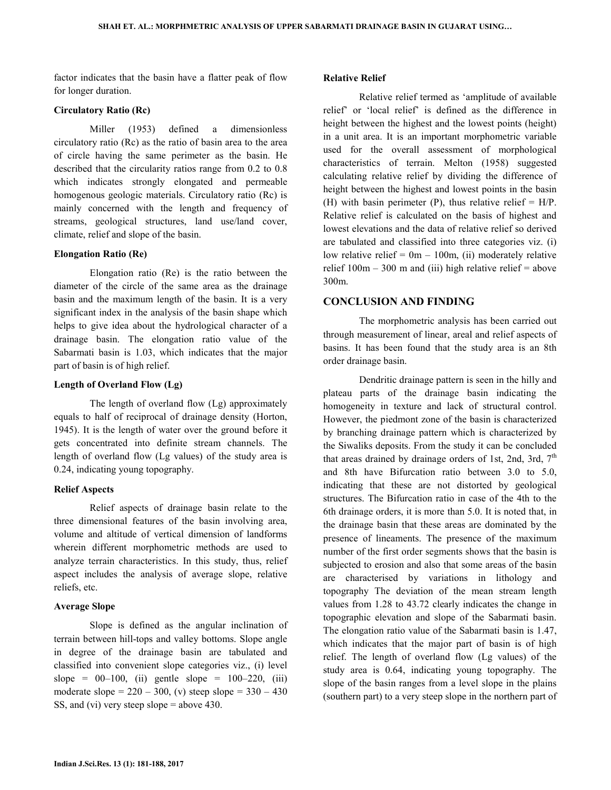factor indicates that the basin have a flatter peak of flow for longer duration.

### **Circulatory Ratio (Rc)**

 Miller (1953) defined a dimensionless circulatory ratio (Rc) as the ratio of basin area to the area of circle having the same perimeter as the basin. He described that the circularity ratios range from 0.2 to 0.8 which indicates strongly elongated and permeable homogenous geologic materials. Circulatory ratio (Rc) is mainly concerned with the length and frequency of streams, geological structures, land use/land cover, climate, relief and slope of the basin.

### **Elongation Ratio (Re)**

 Elongation ratio (Re) is the ratio between the diameter of the circle of the same area as the drainage basin and the maximum length of the basin. It is a very significant index in the analysis of the basin shape which helps to give idea about the hydrological character of a drainage basin. The elongation ratio value of the Sabarmati basin is 1.03, which indicates that the major part of basin is of high relief.

#### **Length of Overland Flow (Lg)**

 The length of overland flow (Lg) approximately equals to half of reciprocal of drainage density (Horton, 1945). It is the length of water over the ground before it gets concentrated into definite stream channels. The length of overland flow (Lg values) of the study area is 0.24, indicating young topography.

#### **Relief Aspects**

 Relief aspects of drainage basin relate to the three dimensional features of the basin involving area, volume and altitude of vertical dimension of landforms wherein different morphometric methods are used to analyze terrain characteristics. In this study, thus, relief aspect includes the analysis of average slope, relative reliefs, etc.

### **Average Slope**

 Slope is defined as the angular inclination of terrain between hill-tops and valley bottoms. Slope angle in degree of the drainage basin are tabulated and classified into convenient slope categories viz., (i) level slope =  $00-100$ , (ii) gentle slope =  $100-220$ , (iii) moderate slope =  $220 - 300$ , (v) steep slope =  $330 - 430$ SS, and (vi) very steep slope = above 430.

#### **Relative Relief**

 Relative relief termed as 'amplitude of available relief' or 'local relief' is defined as the difference in height between the highest and the lowest points (height) in a unit area. It is an important morphometric variable used for the overall assessment of morphological characteristics of terrain. Melton (1958) suggested calculating relative relief by dividing the difference of height between the highest and lowest points in the basin (H) with basin perimeter (P), thus relative relief  $=$  H/P. Relative relief is calculated on the basis of highest and lowest elevations and the data of relative relief so derived are tabulated and classified into three categories viz. (i) low relative relief =  $0m - 100m$ , (ii) moderately relative relief  $100m - 300$  m and (iii) high relative relief = above 300m.

# **CONCLUSION AND FINDING**

 The morphometric analysis has been carried out through measurement of linear, areal and relief aspects of basins. It has been found that the study area is an 8th order drainage basin.

 Dendritic drainage pattern is seen in the hilly and plateau parts of the drainage basin indicating the homogeneity in texture and lack of structural control. However, the piedmont zone of the basin is characterized by branching drainage pattern which is characterized by the Siwaliks deposits. From the study it can be concluded that areas drained by drainage orders of 1st, 2nd, 3rd,  $7<sup>th</sup>$ and 8th have Bifurcation ratio between 3.0 to 5.0, indicating that these are not distorted by geological structures. The Bifurcation ratio in case of the 4th to the 6th drainage orders, it is more than 5.0. It is noted that, in the drainage basin that these areas are dominated by the presence of lineaments. The presence of the maximum number of the first order segments shows that the basin is subjected to erosion and also that some areas of the basin are characterised by variations in lithology and topography The deviation of the mean stream length values from 1.28 to 43.72 clearly indicates the change in topographic elevation and slope of the Sabarmati basin. The elongation ratio value of the Sabarmati basin is 1.47, which indicates that the major part of basin is of high relief. The length of overland flow (Lg values) of the study area is 0.64, indicating young topography. The slope of the basin ranges from a level slope in the plains (southern part) to a very steep slope in the northern part of